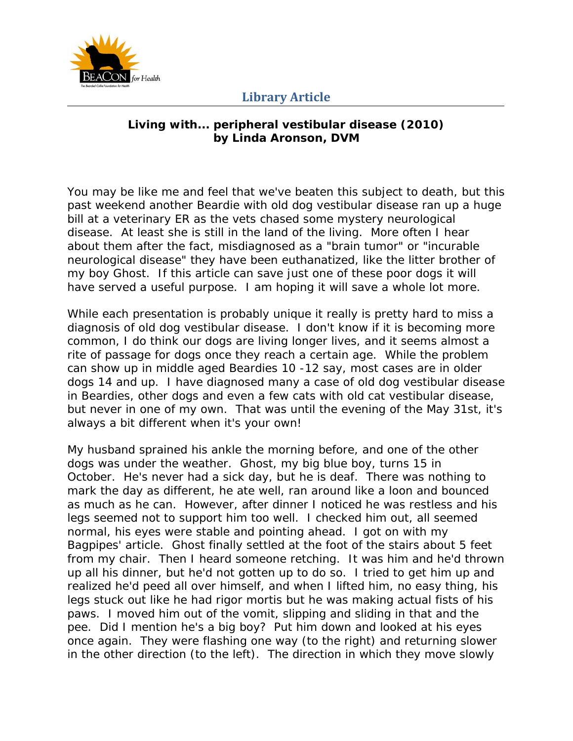

#### **Living with... peripheral vestibular disease (2010) by Linda Aronson, DVM**

You may be like me and feel that we've beaten this subject to death, but this past weekend another Beardie with old dog vestibular disease ran up a huge bill at a veterinary ER as the vets chased some mystery neurological disease. At least she is still in the land of the living. More often I hear about them after the fact, misdiagnosed as a "brain tumor" or "incurable neurological disease" they have been euthanatized, like the litter brother of my boy Ghost. If this article can save just one of these poor dogs it will have served a useful purpose. I am hoping it will save a whole lot more.

While each presentation is probably unique it really is pretty hard to miss a diagnosis of old dog vestibular disease. I don't know if it is becoming more common, I do think our dogs are living longer lives, and it seems almost a rite of passage for dogs once they reach a certain age. While the problem can show up in middle aged Beardies 10 -12 say, most cases are in older dogs 14 and up. I have diagnosed many a case of old dog vestibular disease in Beardies, other dogs and even a few cats with old cat vestibular disease, but never in one of my own. That was until the evening of the May 31st, it's always a bit different when it's your own!

My husband sprained his ankle the morning before, and one of the other dogs was under the weather. Ghost, my big blue boy, turns 15 in October. He's never had a sick day, but he is deaf. There was nothing to mark the day as different, he ate well, ran around like a loon and bounced as much as he can. However, after dinner I noticed he was restless and his legs seemed not to support him too well. I checked him out, all seemed normal, his eyes were stable and pointing ahead. I got on with my Bagpipes' article. Ghost finally settled at the foot of the stairs about 5 feet from my chair. Then I heard someone retching. It was him and he'd thrown up all his dinner, but he'd not gotten up to do so. I tried to get him up and realized he'd peed all over himself, and when I lifted him, no easy thing, his legs stuck out like he had rigor mortis but he was making actual fists of his paws. I moved him out of the vomit, slipping and sliding in that and the pee. Did I mention he's a big boy? Put him down and looked at his eyes once again. They were flashing one way (to the right) and returning slower in the other direction (to the left). The direction in which they move slowly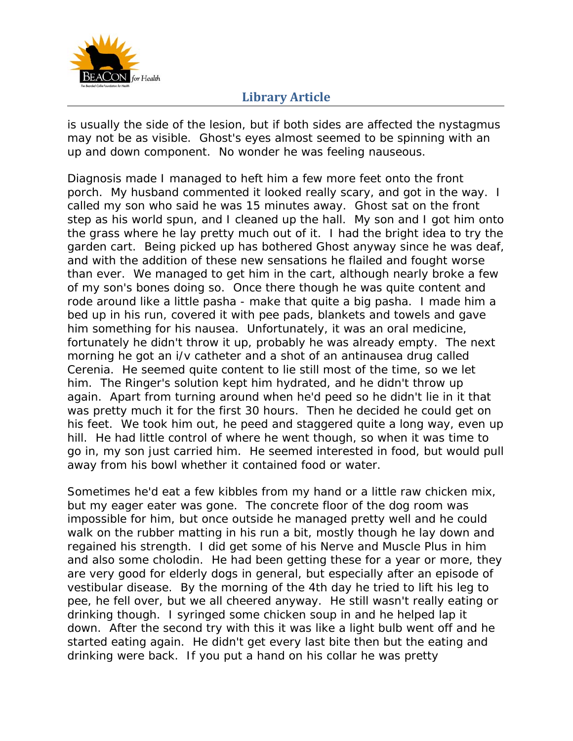

is usually the side of the lesion, but if both sides are affected the nystagmus may not be as visible. Ghost's eyes almost seemed to be spinning with an up and down component. No wonder he was feeling nauseous.

Diagnosis made I managed to heft him a few more feet onto the front porch. My husband commented it looked really scary, and got in the way. I called my son who said he was 15 minutes away. Ghost sat on the front step as his world spun, and I cleaned up the hall. My son and I got him onto the grass where he lay pretty much out of it. I had the bright idea to try the garden cart. Being picked up has bothered Ghost anyway since he was deaf, and with the addition of these new sensations he flailed and fought worse than ever. We managed to get him in the cart, although nearly broke a few of my son's bones doing so. Once there though he was quite content and rode around like a little pasha - make that quite a big pasha. I made him a bed up in his run, covered it with pee pads, blankets and towels and gave him something for his nausea. Unfortunately, it was an oral medicine, fortunately he didn't throw it up, probably he was already empty. The next morning he got an i/v catheter and a shot of an antinausea drug called Cerenia. He seemed quite content to lie still most of the time, so we let him. The Ringer's solution kept him hydrated, and he didn't throw up again. Apart from turning around when he'd peed so he didn't lie in it that was pretty much it for the first 30 hours. Then he decided he could get on his feet. We took him out, he peed and staggered quite a long way, even up hill. He had little control of where he went though, so when it was time to go in, my son just carried him. He seemed interested in food, but would pull away from his bowl whether it contained food or water.

Sometimes he'd eat a few kibbles from my hand or a little raw chicken mix, but my eager eater was gone. The concrete floor of the dog room was impossible for him, but once outside he managed pretty well and he could walk on the rubber matting in his run a bit, mostly though he lay down and regained his strength. I did get some of his Nerve and Muscle Plus in him and also some cholodin. He had been getting these for a year or more, they are very good for elderly dogs in general, but especially after an episode of vestibular disease. By the morning of the 4th day he tried to lift his leg to pee, he fell over, but we all cheered anyway. He still wasn't really eating or drinking though. I syringed some chicken soup in and he helped lap it down. After the second try with this it was like a light bulb went off and he started eating again. He didn't get every last bite then but the eating and drinking were back. If you put a hand on his collar he was pretty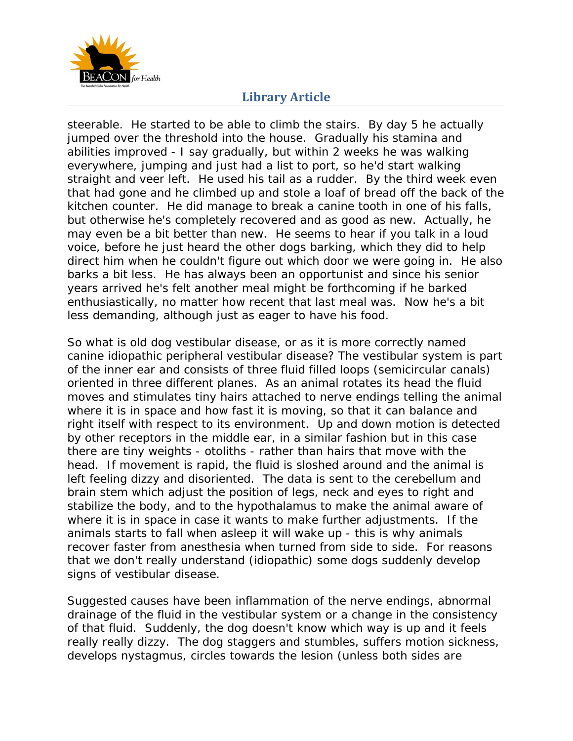

steerable. He started to be able to climb the stairs. By day 5 he actually jumped over the threshold into the house. Gradually his stamina and abilities improved - I say gradually, but within 2 weeks he was walking everywhere, jumping and just had a list to port, so he'd start walking straight and veer left. He used his tail as a rudder. By the third week even that had gone and he climbed up and stole a loaf of bread off the back of the kitchen counter. He did manage to break a canine tooth in one of his falls, but otherwise he's completely recovered and as good as new. Actually, he may even be a bit better than new. He seems to hear if you talk in a loud voice, before he just heard the other dogs barking, which they did to help direct him when he couldn't figure out which door we were going in. He also barks a bit less. He has always been an opportunist and since his senior years arrived he's felt another meal might be forthcoming if he barked enthusiastically, no matter how recent that last meal was. Now he's a bit less demanding, although just as eager to have his food.

So what is old dog vestibular disease, or as it is more correctly named canine idiopathic peripheral vestibular disease? The vestibular system is part of the inner ear and consists of three fluid filled loops (semicircular canals) oriented in three different planes. As an animal rotates its head the fluid moves and stimulates tiny hairs attached to nerve endings telling the animal where it is in space and how fast it is moving, so that it can balance and right itself with respect to its environment. Up and down motion is detected by other receptors in the middle ear, in a similar fashion but in this case there are tiny weights - otoliths - rather than hairs that move with the head. If movement is rapid, the fluid is sloshed around and the animal is left feeling dizzy and disoriented. The data is sent to the cerebellum and brain stem which adjust the position of legs, neck and eyes to right and stabilize the body, and to the hypothalamus to make the animal aware of where it is in space in case it wants to make further adjustments. If the animals starts to fall when asleep it will wake up - this is why animals recover faster from anesthesia when turned from side to side. For reasons that we don't really understand (idiopathic) some dogs suddenly develop signs of vestibular disease.

Suggested causes have been inflammation of the nerve endings, abnormal drainage of the fluid in the vestibular system or a change in the consistency of that fluid. Suddenly, the dog doesn't know which way is up and it feels really really dizzy. The dog staggers and stumbles, suffers motion sickness, develops nystagmus, circles towards the lesion (unless both sides are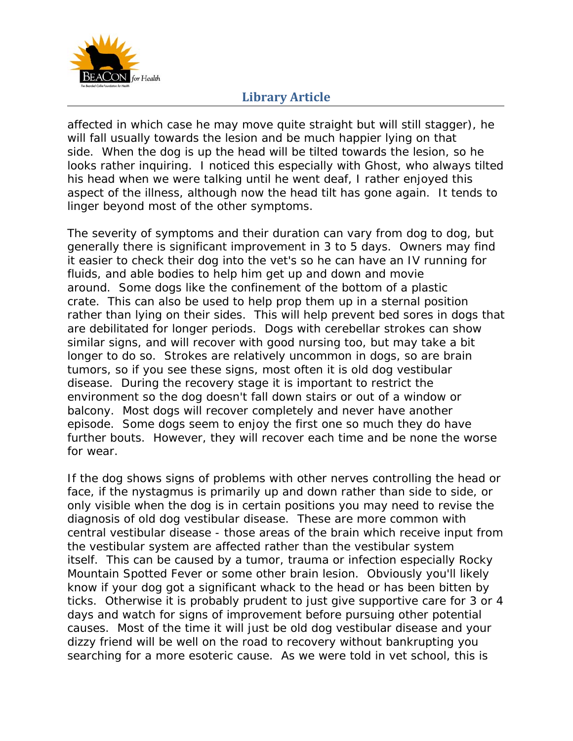

affected in which case he may move quite straight but will still stagger), he will fall usually towards the lesion and be much happier lying on that side. When the dog is up the head will be tilted towards the lesion, so he looks rather inquiring. I noticed this especially with Ghost, who always tilted his head when we were talking until he went deaf, I rather enjoyed this aspect of the illness, although now the head tilt has gone again. It tends to linger beyond most of the other symptoms.

The severity of symptoms and their duration can vary from dog to dog, but generally there is significant improvement in 3 to 5 days. Owners may find it easier to check their dog into the vet's so he can have an IV running for fluids, and able bodies to help him get up and down and movie around. Some dogs like the confinement of the bottom of a plastic crate. This can also be used to help prop them up in a sternal position rather than lying on their sides. This will help prevent bed sores in dogs that are debilitated for longer periods. Dogs with cerebellar strokes can show similar signs, and will recover with good nursing too, but may take a bit longer to do so. Strokes are relatively uncommon in dogs, so are brain tumors, so if you see these signs, most often it is old dog vestibular disease. During the recovery stage it is important to restrict the environment so the dog doesn't fall down stairs or out of a window or balcony. Most dogs will recover completely and never have another episode. Some dogs seem to enjoy the first one so much they do have further bouts. However, they will recover each time and be none the worse for wear.

If the dog shows signs of problems with other nerves controlling the head or face, if the nystagmus is primarily up and down rather than side to side, or only visible when the dog is in certain positions you may need to revise the diagnosis of old dog vestibular disease. These are more common with central vestibular disease - those areas of the brain which receive input from the vestibular system are affected rather than the vestibular system itself. This can be caused by a tumor, trauma or infection especially Rocky Mountain Spotted Fever or some other brain lesion. Obviously you'll likely know if your dog got a significant whack to the head or has been bitten by ticks. Otherwise it is probably prudent to just give supportive care for 3 or 4 days and watch for signs of improvement before pursuing other potential causes. Most of the time it will just be old dog vestibular disease and your dizzy friend will be well on the road to recovery without bankrupting you searching for a more esoteric cause. As we were told in vet school, this is